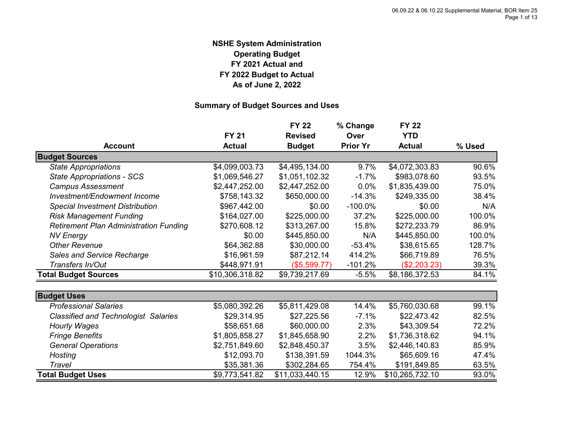#### **NSHE System Administration Operating Budget FY 2021 Actual and FY 2022 Budget to Actual As of June 2, 2022**

#### **Summary of Budget Sources and Uses**

|                                               |                 | <b>FY 22</b>    | % Change        | <b>FY 22</b>    |        |
|-----------------------------------------------|-----------------|-----------------|-----------------|-----------------|--------|
|                                               | <b>FY 21</b>    | <b>Revised</b>  | Over            | <b>YTD</b>      |        |
| <b>Account</b>                                | <b>Actual</b>   | <b>Budget</b>   | <b>Prior Yr</b> | <b>Actual</b>   | % Used |
| <b>Budget Sources</b>                         |                 |                 |                 |                 |        |
| <b>State Appropriations</b>                   | \$4,099,003.73  | \$4,495,134.00  | 9.7%            | \$4,072,303.83  | 90.6%  |
| <b>State Appropriations - SCS</b>             | \$1,069,546.27  | \$1,051,102.32  | $-1.7%$         | \$983,078.60    | 93.5%  |
| <b>Campus Assessment</b>                      | \$2,447,252.00  | \$2,447,252.00  | $0.0\%$         | \$1,835,439.00  | 75.0%  |
| Investment/Endowment Income                   | \$758,143.32    | \$650,000.00    | $-14.3%$        | \$249,335.00    | 38.4%  |
| <b>Special Investment Distribution</b>        | \$967,442.00    | \$0.00          | $-100.0\%$      | \$0.00          | N/A    |
| <b>Risk Management Funding</b>                | \$164,027.00    | \$225,000.00    | 37.2%           | \$225,000.00    | 100.0% |
| <b>Retirement Plan Administration Funding</b> | \$270,608.12    | \$313,267.00    | 15.8%           | \$272,233.79    | 86.9%  |
| <b>NV Energy</b>                              | \$0.00          | \$445,850.00    | N/A             | \$445,850.00    | 100.0% |
| <b>Other Revenue</b>                          | \$64,362.88     | \$30,000.00     | $-53.4%$        | \$38,615.65     | 128.7% |
| Sales and Service Recharge                    | \$16,961.59     | \$87,212.14     | 414.2%          | \$66,719.89     | 76.5%  |
| Transfers In/Out                              | \$448,971.91    | (\$5,599.77)    | $-101.2%$       | (\$2,203.23)    | 39.3%  |
| <b>Total Budget Sources</b>                   | \$10,306,318.82 | \$9,739,217.69  | $-5.5%$         | \$8,186,372.53  | 84.1%  |
| <b>Budget Uses</b>                            |                 |                 |                 |                 |        |
| <b>Professional Salaries</b>                  | \$5,080,392.26  | \$5,811,429.08  | 14.4%           | \$5,760,030.68  | 99.1%  |
| <b>Classified and Technologist Salaries</b>   | \$29,314.95     | \$27,225.56     | $-7.1\%$        | \$22,473.42     | 82.5%  |
| <b>Hourly Wages</b>                           | \$58,651.68     | \$60,000.00     | 2.3%            | \$43,309.54     | 72.2%  |
| <b>Fringe Benefits</b>                        | \$1,805,858.27  | \$1,845,658.90  | 2.2%            | \$1,736,318.62  | 94.1%  |
| <b>General Operations</b>                     | \$2,751,849.60  | \$2,848,450.37  | 3.5%            | \$2,446,140.83  | 85.9%  |
| Hosting                                       | \$12,093.70     | \$138,391.59    | 1044.3%         | \$65,609.16     | 47.4%  |
| Travel                                        | \$35,381.36     | \$302,284.65    | 754.4%          | \$191,849.85    | 63.5%  |
| <b>Total Budget Uses</b>                      | \$9,773,541.82  | \$11,033,440.15 | 12.9%           | \$10,265,732.10 | 93.0%  |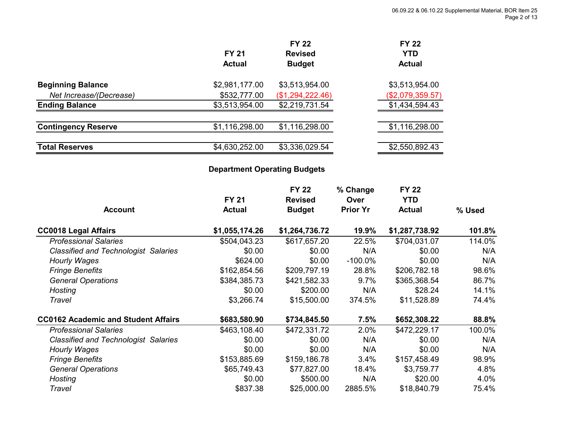|                | <b>FY 22</b>     |                  |
|----------------|------------------|------------------|
| <b>FY 21</b>   | <b>Revised</b>   | <b>YTD</b>       |
| <b>Actual</b>  | <b>Budget</b>    | <b>Actual</b>    |
| \$2,981,177.00 | \$3,513,954.00   | \$3,513,954.00   |
| \$532,777.00   | (\$1,294,222.46) | (\$2,079,359.57) |
| \$3,513,954.00 | \$2,219,731.54   | \$1,434,594.43   |
| \$1,116,298.00 | \$1,116,298.00   | \$1,116,298.00   |
| \$4,630,252.00 | \$3,336,029.54   | \$2,550,892.43   |
|                |                  | <b>FY 22</b>     |

#### **Department Operating Budgets**

| <b>Account</b>                              | <b>FY 21</b><br><b>Actual</b> | <b>FY 22</b><br><b>Revised</b><br><b>Budget</b> | % Change<br>Over<br><b>Prior Yr</b> | <b>FY 22</b><br><b>YTD</b><br><b>Actual</b> | % Used |
|---------------------------------------------|-------------------------------|-------------------------------------------------|-------------------------------------|---------------------------------------------|--------|
|                                             |                               |                                                 |                                     |                                             |        |
| <b>CC0018 Legal Affairs</b>                 | \$1,055,174.26                | \$1,264,736.72                                  | 19.9%                               | \$1,287,738.92                              | 101.8% |
| <b>Professional Salaries</b>                | \$504,043.23                  | \$617,657.20                                    | 22.5%                               | \$704,031.07                                | 114.0% |
| <b>Classified and Technologist Salaries</b> | \$0.00                        | \$0.00                                          | N/A                                 | \$0.00                                      | N/A    |
| Hourly Wages                                | \$624.00                      | \$0.00                                          | $-100.0\%$                          | \$0.00                                      | N/A    |
| <b>Fringe Benefits</b>                      | \$162,854.56                  | \$209,797.19                                    | 28.8%                               | \$206,782.18                                | 98.6%  |
| <b>General Operations</b>                   | \$384,385.73                  | \$421,582.33                                    | 9.7%                                | \$365,368.54                                | 86.7%  |
| Hosting                                     | \$0.00                        | \$200.00                                        | N/A                                 | \$28.24                                     | 14.1%  |
| Travel                                      | \$3,266.74                    | \$15,500.00                                     | 374.5%                              | \$11,528.89                                 | 74.4%  |
| <b>CC0162 Academic and Student Affairs</b>  | \$683,580.90                  | \$734,845.50                                    | 7.5%                                | \$652,308.22                                | 88.8%  |
| <b>Professional Salaries</b>                | \$463,108.40                  | \$472,331.72                                    | 2.0%                                | \$472,229.17                                | 100.0% |
| <b>Classified and Technologist Salaries</b> | \$0.00                        | \$0.00                                          | N/A                                 | \$0.00                                      | N/A    |
| Hourly Wages                                | \$0.00                        | \$0.00                                          | N/A                                 | \$0.00                                      | N/A    |
| <b>Fringe Benefits</b>                      | \$153,885.69                  | \$159,186.78                                    | 3.4%                                | \$157,458.49                                | 98.9%  |
| <b>General Operations</b>                   | \$65,749.43                   | \$77,827.00                                     | 18.4%                               | \$3,759.77                                  | 4.8%   |
| Hosting                                     | \$0.00                        | \$500.00                                        | N/A                                 | \$20.00                                     | 4.0%   |
| Travel                                      | \$837.38                      | \$25,000.00                                     | 2885.5%                             | \$18,840.79                                 | 75.4%  |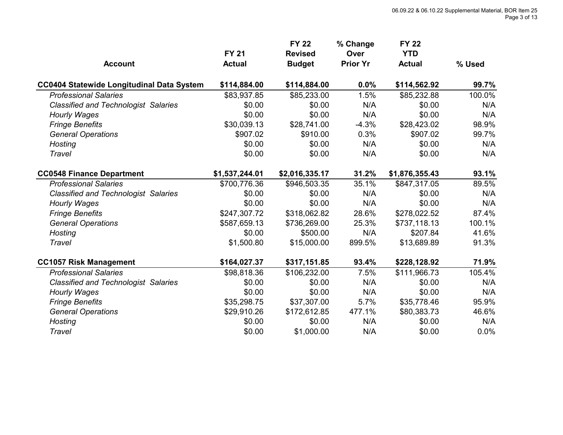| <b>Account</b>                                   | <b>FY 21</b><br><b>Actual</b> | <b>FY 22</b><br><b>Revised</b><br><b>Budget</b> | % Change<br><b>Over</b><br><b>Prior Yr</b> | <b>FY 22</b><br><b>YTD</b><br><b>Actual</b> | % Used |
|--------------------------------------------------|-------------------------------|-------------------------------------------------|--------------------------------------------|---------------------------------------------|--------|
| <b>CC0404 Statewide Longitudinal Data System</b> | \$114,884.00                  | \$114,884.00                                    | 0.0%                                       | \$114,562.92                                | 99.7%  |
| <b>Professional Salaries</b>                     | \$83,937.85                   | \$85,233.00                                     | 1.5%                                       | \$85,232.88                                 | 100.0% |
| <b>Classified and Technologist Salaries</b>      | \$0.00                        | \$0.00                                          | N/A                                        | \$0.00                                      | N/A    |
| <b>Hourly Wages</b>                              | \$0.00                        | \$0.00                                          | N/A                                        | \$0.00                                      | N/A    |
| <b>Fringe Benefits</b>                           | \$30,039.13                   | \$28,741.00                                     | $-4.3%$                                    | \$28,423.02                                 | 98.9%  |
| <b>General Operations</b>                        | \$907.02                      | \$910.00                                        | 0.3%                                       | \$907.02                                    | 99.7%  |
| Hosting                                          | \$0.00                        | \$0.00                                          | N/A                                        | \$0.00                                      | N/A    |
| Travel                                           | \$0.00                        | \$0.00                                          | N/A                                        | \$0.00                                      | N/A    |
| <b>CC0548 Finance Department</b>                 | \$1,537,244.01                | \$2,016,335.17                                  | 31.2%                                      | \$1,876,355.43                              | 93.1%  |
| <b>Professional Salaries</b>                     | \$700,776.36                  | \$946,503.35                                    | 35.1%                                      | \$847,317.05                                | 89.5%  |
| <b>Classified and Technologist Salaries</b>      | \$0.00                        | \$0.00                                          | N/A                                        | \$0.00                                      | N/A    |
| Hourly Wages                                     | \$0.00                        | \$0.00                                          | N/A                                        | \$0.00                                      | N/A    |
| <b>Fringe Benefits</b>                           | \$247,307.72                  | \$318,062.82                                    | 28.6%                                      | \$278,022.52                                | 87.4%  |
| <b>General Operations</b>                        | \$587,659.13                  | \$736,269.00                                    | 25.3%                                      | \$737,118.13                                | 100.1% |
| <b>Hosting</b>                                   | \$0.00                        | \$500.00                                        | N/A                                        | \$207.84                                    | 41.6%  |
| Travel                                           | \$1,500.80                    | \$15,000.00                                     | 899.5%                                     | \$13,689.89                                 | 91.3%  |
| <b>CC1057 Risk Management</b>                    | \$164,027.37                  | \$317,151.85                                    | 93.4%                                      | \$228,128.92                                | 71.9%  |
| <b>Professional Salaries</b>                     | \$98,818.36                   | \$106,232.00                                    | 7.5%                                       | \$111,966.73                                | 105.4% |
| <b>Classified and Technologist Salaries</b>      | \$0.00                        | \$0.00                                          | N/A                                        | \$0.00                                      | N/A    |
| Hourly Wages                                     | \$0.00                        | \$0.00                                          | N/A                                        | \$0.00                                      | N/A    |
| <b>Fringe Benefits</b>                           | \$35,298.75                   | \$37,307.00                                     | 5.7%                                       | \$35,778.46                                 | 95.9%  |
| <b>General Operations</b>                        | \$29,910.26                   | \$172,612.85                                    | 477.1%                                     | \$80,383.73                                 | 46.6%  |
| Hosting                                          | \$0.00                        | \$0.00                                          | N/A                                        | \$0.00                                      | N/A    |
| Travel                                           | \$0.00                        | \$1,000.00                                      | N/A                                        | \$0.00                                      | 0.0%   |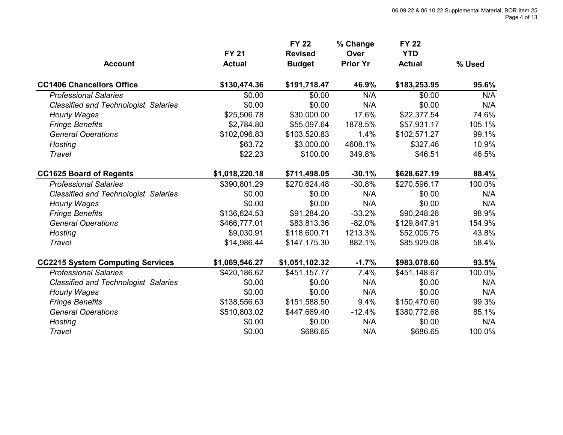| <b>Account</b>                              | <b>FY 21</b><br><b>Actual</b> | <b>FY 22</b><br><b>Revised</b><br><b>Budget</b> | % Change<br>Over<br><b>Prior Yr</b> | <b>FY 22</b><br><b>YTD</b><br><b>Actual</b> | % Used |
|---------------------------------------------|-------------------------------|-------------------------------------------------|-------------------------------------|---------------------------------------------|--------|
| <b>CC1406 Chancellors Office</b>            | \$130,474.36                  | \$191,718.47                                    | 46.9%                               | \$183,253.95                                | 95.6%  |
| <b>Professional Salaries</b>                | \$0.00                        | \$0.00                                          | N/A                                 | \$0.00                                      | N/A    |
| <b>Classified and Technologist Salaries</b> | \$0.00                        | \$0.00                                          | N/A                                 | \$0.00                                      | N/A    |
| <b>Hourly Wages</b>                         | \$25,506.78                   | \$30,000.00                                     | 17.6%                               | \$22,377.54                                 | 74.6%  |
| <b>Fringe Benefits</b>                      | \$2,784.80                    | \$55,097.64                                     | 1878.5%                             | \$57,931.17                                 | 105.1% |
| <b>General Operations</b>                   | \$102,096.83                  | \$103,520.83                                    | 1.4%                                | \$102,571.27                                | 99.1%  |
| Hosting                                     | \$63.72                       | \$3,000.00                                      | 4608.1%                             | \$327.46                                    | 10.9%  |
| Travel                                      | \$22.23                       | \$100.00                                        | 349.8%                              | \$46.51                                     | 46.5%  |
| <b>CC1625 Board of Regents</b>              | \$1,018,220.18                | \$711,498.05                                    | $-30.1%$                            | \$628,627.19                                | 88.4%  |
| <b>Professional Salaries</b>                | \$390,801.29                  | \$270,624.48                                    | $-30.8%$                            | \$270,596.17                                | 100.0% |
| <b>Classified and Technologist Salaries</b> | \$0.00                        | \$0.00                                          | N/A                                 | \$0.00                                      | N/A    |
| <b>Hourly Wages</b>                         | \$0.00                        | \$0.00                                          | N/A                                 | \$0.00                                      | N/A    |
| <b>Fringe Benefits</b>                      | \$136,624.53                  | \$91,284.20                                     | $-33.2%$                            | \$90,248.28                                 | 98.9%  |
| <b>General Operations</b>                   | \$466,777.01                  | \$83,813.36                                     | $-82.0%$                            | \$129,847.91                                | 154.9% |
| Hosting                                     | \$9,030.91                    | \$118,600.71                                    | 1213.3%                             | \$52,005.75                                 | 43.8%  |
| Travel                                      | \$14,986.44                   | \$147,175.30                                    | 882.1%                              | \$85,929.08                                 | 58.4%  |
| <b>CC2215 System Computing Services</b>     | \$1,069,546.27                | \$1,051,102.32                                  | $-1.7%$                             | \$983,078.60                                | 93.5%  |
| <b>Professional Salaries</b>                | \$420,186.62                  | \$451,157.77                                    | 7.4%                                | \$451,148.67                                | 100.0% |
| <b>Classified and Technologist Salaries</b> | \$0.00                        | \$0.00                                          | N/A                                 | \$0.00                                      | N/A    |
| <b>Hourly Wages</b>                         | \$0.00                        | \$0.00                                          | N/A                                 | \$0.00                                      | N/A    |
| <b>Fringe Benefits</b>                      | \$138,556.63                  | \$151,588.50                                    | 9.4%                                | \$150,470.60                                | 99.3%  |
| <b>General Operations</b>                   | \$510,803.02                  | \$447,669.40                                    | $-12.4%$                            | \$380,772.68                                | 85.1%  |
| <b>Hosting</b>                              | \$0.00                        | \$0.00                                          | N/A                                 | \$0.00                                      | N/A    |
| Travel                                      | \$0.00                        | \$686.65                                        | N/A                                 | \$686.65                                    | 100.0% |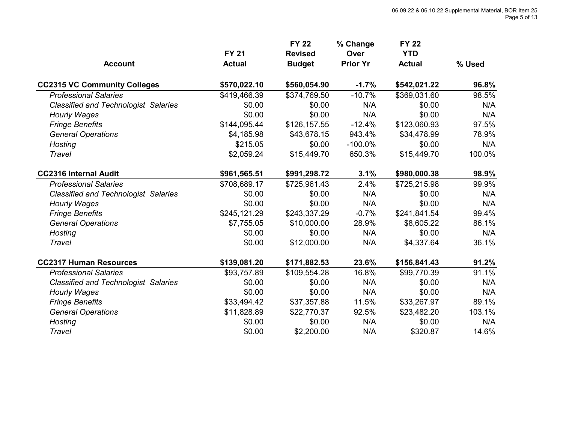|                                             | <b>FY 21</b>  | <b>FY 22</b><br><b>Revised</b> | % Change<br>Over | <b>FY 22</b><br><b>YTD</b> |        |
|---------------------------------------------|---------------|--------------------------------|------------------|----------------------------|--------|
| <b>Account</b>                              | <b>Actual</b> | <b>Budget</b>                  | <b>Prior Yr</b>  | <b>Actual</b>              | % Used |
| <b>CC2315 VC Community Colleges</b>         | \$570,022.10  | \$560,054.90                   | $-1.7%$          | \$542,021.22               | 96.8%  |
| <b>Professional Salaries</b>                | \$419,466.39  | \$374,769.50                   | $-10.7%$         | \$369,031.60               | 98.5%  |
| <b>Classified and Technologist Salaries</b> | \$0.00        | \$0.00                         | N/A              | \$0.00                     | N/A    |
| <b>Hourly Wages</b>                         | \$0.00        | \$0.00                         | N/A              | \$0.00                     | N/A    |
| <b>Fringe Benefits</b>                      | \$144,095.44  | \$126,157.55                   | $-12.4%$         | \$123,060.93               | 97.5%  |
| <b>General Operations</b>                   | \$4,185.98    | \$43,678.15                    | 943.4%           | \$34,478.99                | 78.9%  |
| Hosting                                     | \$215.05      | \$0.00                         | $-100.0\%$       | \$0.00                     | N/A    |
| Travel                                      | \$2,059.24    | \$15,449.70                    | 650.3%           | \$15,449.70                | 100.0% |
| <b>CC2316 Internal Audit</b>                | \$961,565.51  | \$991,298.72                   | 3.1%             | \$980,000.38               | 98.9%  |
| <b>Professional Salaries</b>                | \$708,689.17  | \$725,961.43                   | 2.4%             | \$725,215.98               | 99.9%  |
| <b>Classified and Technologist Salaries</b> | \$0.00        | \$0.00                         | N/A              | \$0.00                     | N/A    |
| <b>Hourly Wages</b>                         | \$0.00        | \$0.00                         | N/A              | \$0.00                     | N/A    |
| <b>Fringe Benefits</b>                      | \$245,121.29  | \$243,337.29                   | $-0.7%$          | \$241,841.54               | 99.4%  |
| <b>General Operations</b>                   | \$7,755.05    | \$10,000.00                    | 28.9%            | \$8,605.22                 | 86.1%  |
| Hosting                                     | \$0.00        | \$0.00                         | N/A              | \$0.00                     | N/A    |
| Travel                                      | \$0.00        | \$12,000.00                    | N/A              | \$4,337.64                 | 36.1%  |
| <b>CC2317 Human Resources</b>               | \$139,081.20  | \$171,882.53                   | 23.6%            | \$156,841.43               | 91.2%  |
| <b>Professional Salaries</b>                | \$93,757.89   | \$109,554.28                   | 16.8%            | \$99,770.39                | 91.1%  |
| <b>Classified and Technologist Salaries</b> | \$0.00        | \$0.00                         | N/A              | \$0.00                     | N/A    |
| <b>Hourly Wages</b>                         | \$0.00        | \$0.00                         | N/A              | \$0.00                     | N/A    |
| <b>Fringe Benefits</b>                      | \$33,494.42   | \$37,357.88                    | 11.5%            | \$33,267.97                | 89.1%  |
| <b>General Operations</b>                   | \$11,828.89   | \$22,770.37                    | 92.5%            | \$23,482.20                | 103.1% |
| <b>Hosting</b>                              | \$0.00        | \$0.00                         | N/A              | \$0.00                     | N/A    |
| Travel                                      | \$0.00        | \$2,200.00                     | N/A              | \$320.87                   | 14.6%  |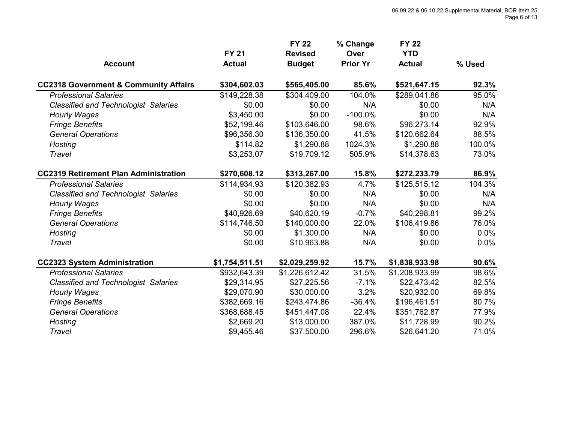|                                                  |                | <b>FY 22</b>   | % Change        | <b>FY 22</b>   |        |  |
|--------------------------------------------------|----------------|----------------|-----------------|----------------|--------|--|
|                                                  | <b>FY 21</b>   | <b>Revised</b> | Over            | <b>YTD</b>     |        |  |
| <b>Account</b>                                   | <b>Actual</b>  | <b>Budget</b>  | <b>Prior Yr</b> | <b>Actual</b>  | % Used |  |
| <b>CC2318 Government &amp; Community Affairs</b> | \$304,602.03   | \$565,405.00   | 85.6%           | \$521,647.15   | 92.3%  |  |
| <b>Professional Salaries</b>                     | \$149,228.38   | \$304,409.00   | 104.0%          | \$289,041.86   | 95.0%  |  |
| <b>Classified and Technologist Salaries</b>      | \$0.00         | \$0.00         | N/A             | \$0.00         | N/A    |  |
| <b>Hourly Wages</b>                              | \$3,450.00     | \$0.00         | $-100.0\%$      | \$0.00         | N/A    |  |
| <b>Fringe Benefits</b>                           | \$52,199.46    | \$103,646.00   | 98.6%           | \$96,273.14    | 92.9%  |  |
| <b>General Operations</b>                        | \$96,356.30    | \$136,350.00   | 41.5%           | \$120,662.64   | 88.5%  |  |
| <b>Hosting</b>                                   | \$114.82       | \$1,290.88     | 1024.3%         | \$1,290.88     | 100.0% |  |
| Travel                                           | \$3,253.07     | \$19,709.12    | 505.9%          | \$14,378.63    | 73.0%  |  |
| <b>CC2319 Retirement Plan Administration</b>     | \$270,608.12   | \$313,267.00   | 15.8%           | \$272,233.79   | 86.9%  |  |
| <b>Professional Salaries</b>                     | \$114,934.93   | \$120,382.93   | 4.7%            | \$125,515.12   | 104.3% |  |
| <b>Classified and Technologist Salaries</b>      | \$0.00         | \$0.00         | N/A             | \$0.00         | N/A    |  |
| <b>Hourly Wages</b>                              | \$0.00         | \$0.00         | N/A             | \$0.00         | N/A    |  |
| <b>Fringe Benefits</b>                           | \$40,926.69    | \$40,620.19    | $-0.7%$         | \$40,298.81    | 99.2%  |  |
| <b>General Operations</b>                        | \$114,746.50   | \$140,000.00   | 22.0%           | \$106,419.86   | 76.0%  |  |
| Hosting                                          | \$0.00         | \$1,300.00     | N/A             | \$0.00         | 0.0%   |  |
| <b>Travel</b>                                    | \$0.00         | \$10,963.88    | N/A             | \$0.00         | 0.0%   |  |
| <b>CC2323 System Administration</b>              | \$1,754,511.51 | \$2,029,259.92 | 15.7%           | \$1,838,933.98 | 90.6%  |  |
| <b>Professional Salaries</b>                     | \$932,643.39   | \$1,226,612.42 | 31.5%           | \$1,208,933.99 | 98.6%  |  |
| <b>Classified and Technologist Salaries</b>      | \$29,314.95    | \$27,225.56    | $-7.1%$         | \$22,473.42    | 82.5%  |  |
| <b>Hourly Wages</b>                              | \$29,070.90    | \$30,000.00    | 3.2%            | \$20,932.00    | 69.8%  |  |
| <b>Fringe Benefits</b>                           | \$382,669.16   | \$243,474.86   | $-36.4%$        | \$196,461.51   | 80.7%  |  |
| <b>General Operations</b>                        | \$368,688.45   | \$451,447.08   | 22.4%           | \$351,762.87   | 77.9%  |  |
| <b>Hosting</b>                                   | \$2,669.20     | \$13,000.00    | 387.0%          | \$11,728.99    | 90.2%  |  |
| Travel                                           | \$9,455.46     | \$37,500.00    | 296.6%          | \$26,641.20    | 71.0%  |  |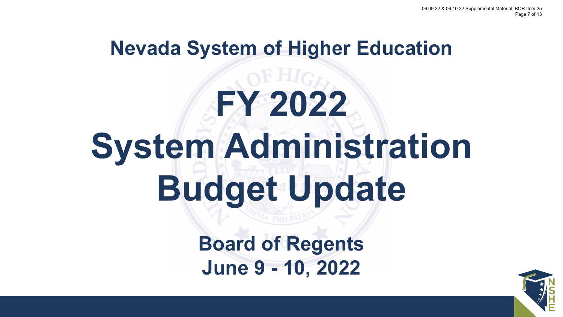## **Nevada System of Higher Education**

## **FY 2022 System Administration Budget Update**

**Board of Regents June 9 - 10, 2022**

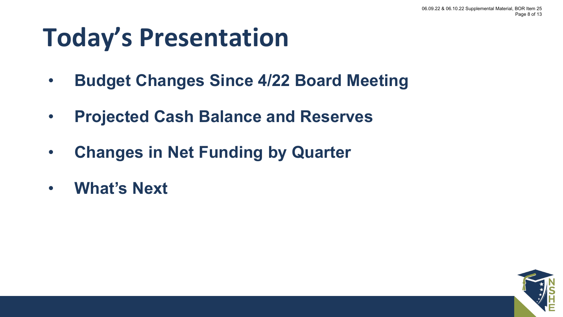#### **Today's Presentation**

- **Budget Changes Since 4/22 Board Meeting**
- **Projected Cash Balance and Reserves**
- **Changes in Net Funding by Quarter**
- **What's Next**

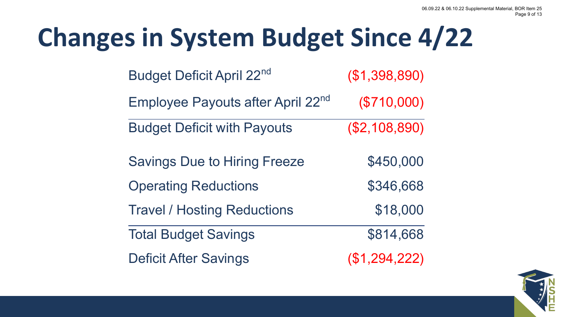### **Changes in System Budget Since 4/22**

| <b>Budget Deficit April 22nd</b>    | (\$1,398,890) |
|-------------------------------------|---------------|
| Employee Payouts after April 22nd   | $(\$710,000)$ |
| <b>Budget Deficit with Payouts</b>  | (\$2,108,890) |
| <b>Savings Due to Hiring Freeze</b> | \$450,000     |
| <b>Operating Reductions</b>         | \$346,668     |
| <b>Travel / Hosting Reductions</b>  | \$18,000      |
| <b>Total Budget Savings</b>         | \$814,668     |
| <b>Deficit After Savings</b>        | (\$1,294,222) |

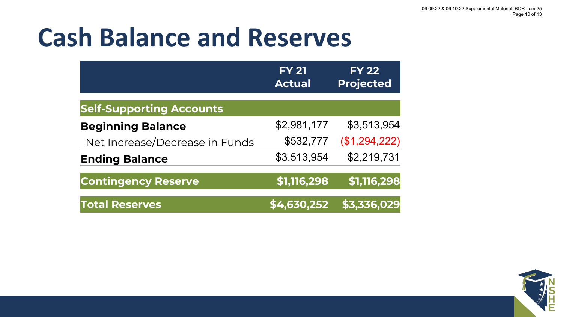### **Cash Balance and Reserves**

|                                 | <b>FY 21</b><br><b>Actual</b> | <b>FY 22</b><br><b>Projected</b> |
|---------------------------------|-------------------------------|----------------------------------|
| <b>Self-Supporting Accounts</b> |                               |                                  |
| <b>Beginning Balance</b>        | \$2,981,177                   | \$3,513,954                      |
| Net Increase/Decrease in Funds  | \$532,777                     | (\$1,294,222)                    |
| <b>Ending Balance</b>           | \$3,513,954                   | \$2,219,731                      |
| <b>Contingency Reserve</b>      | \$1,116,298                   | \$1,116,298                      |
| <b>Total Reserves</b>           | \$4,630,252                   | \$3,336,029                      |

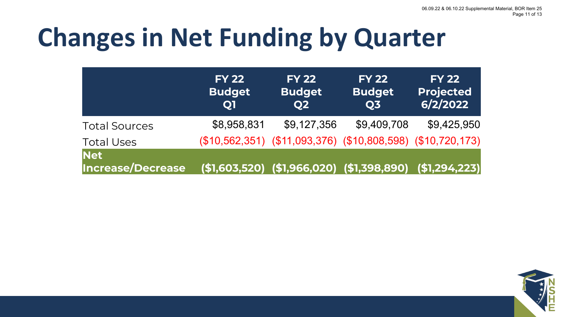### **Changes in Net Funding by Quarter**

|                                        | <b>FY 22</b><br><b>Budget</b><br><b>Q1</b> | <b>FY 22</b><br><b>Budget</b><br>Q <sub>2</sub> | <b>FY 22</b><br><b>Budget</b><br><b>Q3</b>                  | <b>FY 22</b><br><b>Projected</b><br>6/2/2022 |
|----------------------------------------|--------------------------------------------|-------------------------------------------------|-------------------------------------------------------------|----------------------------------------------|
| <b>Total Sources</b>                   | \$8,958,831                                | \$9,127,356                                     | \$9,409,708                                                 | \$9,425,950                                  |
| <b>Total Uses</b>                      |                                            |                                                 | (\$10,562,351) (\$11,093,376) (\$10,808,598) (\$10,720,173) |                                              |
| <b>Net</b><br><b>Increase/Decrease</b> |                                            |                                                 | $($1,603,520)$ $($1,966,020)$ $($1,398,890)$ $($1,294,223)$ |                                              |

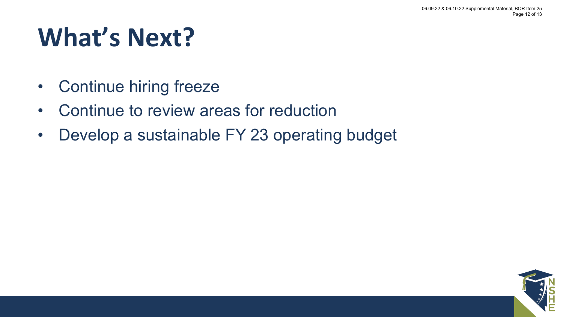### **What's Next?**

- Continue hiring freeze
- Continue to review areas for reduction
- Develop a sustainable FY 23 operating budget